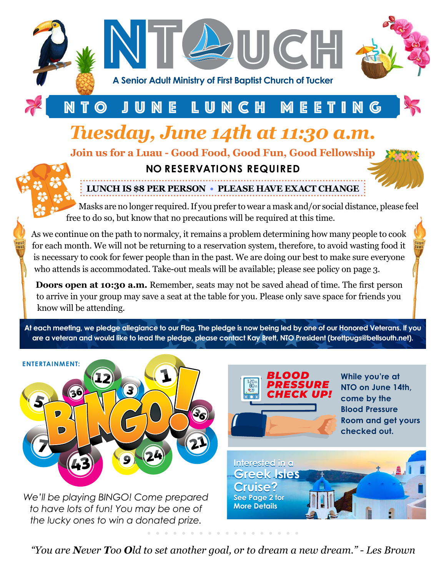

## NTO JUNE LUNCH MEETING

# *Tuesday, June 14th at 11:30 a.m.*

**Join us for a Luau - Good Food, Good Fun, Good Fellowship**

### **NO RESERVATIONS REQUIRED**



Masks are no longer required. If you prefer to wear a mask and/or social distance, please feel free to do so, but know that no precautions will be required at this time.

As we continue on the path to normalcy, it remains a problem determining how many people to cook for each month. We will not be returning to a reservation system, therefore, to avoid wasting food it is necessary to cook for fewer people than in the past. We are doing our best to make sure everyone who attends is accommodated. Take-out meals will be available; please see policy on page 3.

**Doors open at 10:30 a.m.** Remember, seats may not be saved ahead of time. The first person to arrive in your group may save a seat at the table for you. Please only save space for friends you know will be attending.

**At each meeting, we pledge allegiance to our Flag. The pledge is now being led by one of our Honored Veterans. If you are a veteran and would like to lead the pledge, please contact Kay Brett, NTO President (brettpugs@bellsouth.net).**



*"You are Never Too Old to set another goal, or to dream a new dream." - Les Brown*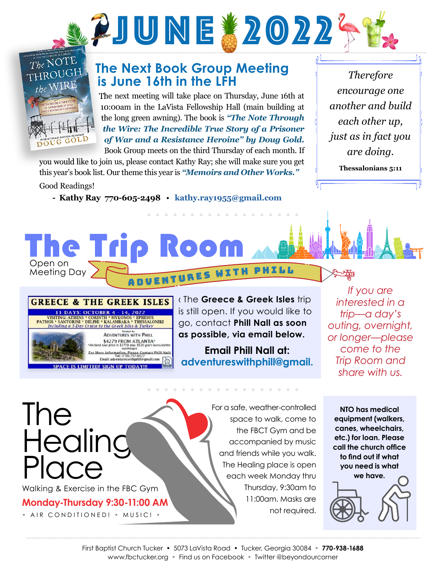

# The NOTE THROUGH WIRE G GOLD

### **The Next Book Group Meeting is June 16th in the LFH**

The next meeting will take place on Thursday, June 16th at 10:00am in the LaVista Fellowship Hall (main building at the long green awning). The book is *"The Note Through the Wire: The Incredible True Story of a Prisoner of War and a Resistance Heroine" by Doug Gold.*

> A D V E N T U R E S W I T H P H I L L A D V E N T U R E S W I T H P H I L L

**Room** 

Book Group meets on the third Thursday of each month. If you would like to join us, please contact Kathy Ray; she will make sure you get this year's book list. Our theme this year is *"Memoirs and Other Works."* 

Good Readings!

**The Tri** 

Open on Meeting Day

**- Kathy Ray 770-605-2498** • **kathy.ray1955@gmail.com**

*Therefore encourage one another and build each other up, just as in fact you are doing.*

**Thessalonians 5:11**

#### **GREECE & THE GREEK ISLES** 11 DAYS: OCTOBER 4 - 14, 2022 **THENG: ATHENS \* CORINTH \* MYKONOS \* EPHESUS<br>PATMOS \* SANTORINI \* DELPHI \* KALAMBAKA \* THESSALONIKI**<br>Including a 3-Day Cruise to the Greek Isles & Turkey

**ADVENTURES WITH PHILL** \$4279 FROM ATLANTA®<br>tour price is \$3759 plus \$520 gov't taxes/t More Information, Please Contact Phill Nall<br>Tel: (770) 757-0527 Email: adv

PACE IS LIMITED! SIGN UP TODAY!

‹ The **Greece & Greek Isles** trip is still open. If you would like to go, contact **Phill Nall as soon as possible, via email below.**

**Email Phill Nall at: adventureswithphill@gmail.**

*If you are interested in a trip—a day's outing, overnight, or longer—please come to the Trip Room and share with us.*

The Healing Place Walking & Exercise in the FBC Gym

**Monday-Thursday 9:30-11:00 AM**

• AIR CONDITIONED! • MUSIC! •

For a safe, weather-controlled space to walk, come to the FBCT Gym and be accompanied by music and friends while you walk. The Healing place is open each week Monday thru Thursday, 9:30am to 11:00am. Masks are not required.

**NTO has medical equipment (walkers, canes, wheelchairs, etc.) for loan. Please call the church office to find out if what you need is what we have.**